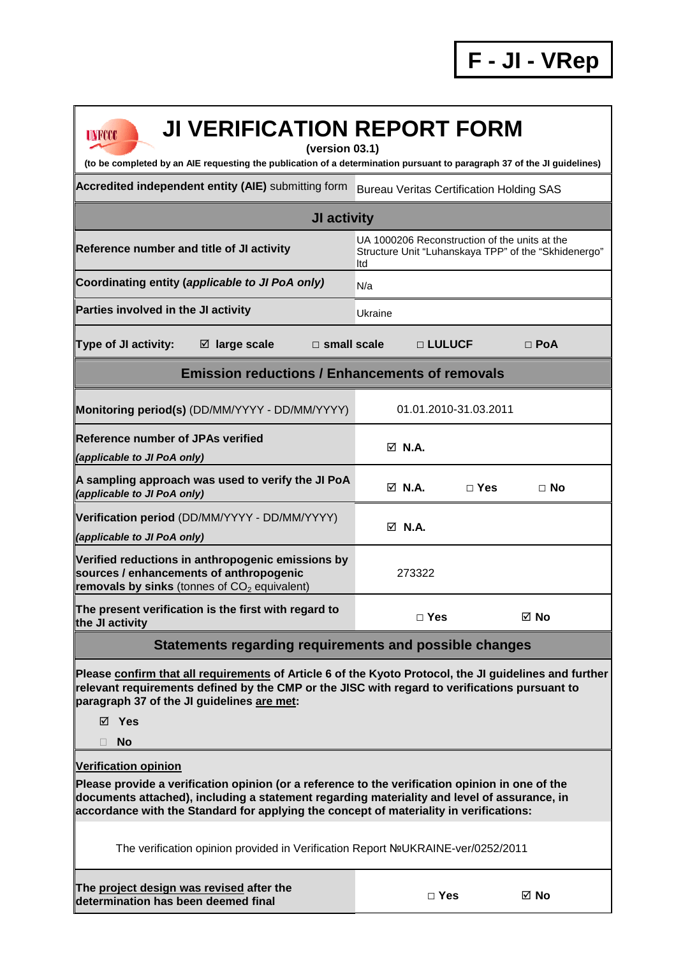| <b>JI VERIFICATION REPORT FORM</b><br>UNFCCC<br>(version 03.1)<br>(to be completed by an AIE requesting the publication of a determination pursuant to paragraph 37 of the JI guidelines)                                                                                                |                                                                                                              |                       |                |  |
|------------------------------------------------------------------------------------------------------------------------------------------------------------------------------------------------------------------------------------------------------------------------------------------|--------------------------------------------------------------------------------------------------------------|-----------------------|----------------|--|
| Accredited independent entity (AIE) submitting form                                                                                                                                                                                                                                      | <b>Bureau Veritas Certification Holding SAS</b>                                                              |                       |                |  |
| JI activity                                                                                                                                                                                                                                                                              |                                                                                                              |                       |                |  |
| Reference number and title of JI activity                                                                                                                                                                                                                                                | UA 1000206 Reconstruction of the units at the<br>Structure Unit "Luhanskaya TPP" of the "Skhidenergo"<br>ltd |                       |                |  |
| Coordinating entity (applicable to JI PoA only)                                                                                                                                                                                                                                          | N/a                                                                                                          |                       |                |  |
| Parties involved in the JI activity                                                                                                                                                                                                                                                      | Ukraine                                                                                                      |                       |                |  |
| <b>Type of JI activity:</b><br>$\boxtimes$ large scale<br>$\Box$ small scale                                                                                                                                                                                                             |                                                                                                              | □ LULUCF              | $\Box$ PoA     |  |
| <b>Emission reductions / Enhancements of removals</b>                                                                                                                                                                                                                                    |                                                                                                              |                       |                |  |
| Monitoring period(s) (DD/MM/YYYY - DD/MM/YYYY)                                                                                                                                                                                                                                           |                                                                                                              | 01.01.2010-31.03.2011 |                |  |
| <b>Reference number of JPAs verified</b><br>(applicable to JI PoA only)                                                                                                                                                                                                                  | $\boxtimes$ N.A.                                                                                             |                       |                |  |
| A sampling approach was used to verify the JI PoA<br>(applicable to JI PoA only)                                                                                                                                                                                                         | $\boxtimes$ N.A.                                                                                             | $\Box$ Yes            | $\Box$ No      |  |
| Verification period (DD/MM/YYYY - DD/MM/YYYY)<br>(applicable to JI PoA only)                                                                                                                                                                                                             | $\boxtimes$ N.A.                                                                                             |                       |                |  |
| Verified reductions in anthropogenic emissions by<br>sources / enhancements of anthropogenic<br>removals by sinks (tonnes of $CO2$ equivalent)                                                                                                                                           | 273322                                                                                                       |                       |                |  |
| The present verification is the first with regard to<br>the JI activity                                                                                                                                                                                                                  | $\Box$ Yes                                                                                                   |                       | $\boxtimes$ No |  |
| Statements regarding requirements and possible changes                                                                                                                                                                                                                                   |                                                                                                              |                       |                |  |
| Please confirm that all requirements of Article 6 of the Kyoto Protocol, the JI guidelines and further<br>relevant requirements defined by the CMP or the JISC with regard to verifications pursuant to<br>paragraph 37 of the JI guidelines are met:<br>⊠ Yes<br><b>No</b><br>П         |                                                                                                              |                       |                |  |
| <b>Verification opinion</b>                                                                                                                                                                                                                                                              |                                                                                                              |                       |                |  |
| Please provide a verification opinion (or a reference to the verification opinion in one of the<br>documents attached), including a statement regarding materiality and level of assurance, in<br>accordance with the Standard for applying the concept of materiality in verifications: |                                                                                                              |                       |                |  |
| The verification opinion provided in Verification Report NºUKRAINE-ver/0252/2011                                                                                                                                                                                                         |                                                                                                              |                       |                |  |
| The project design was revised after the<br>determination has been deemed final                                                                                                                                                                                                          | $\Box$ Yes                                                                                                   |                       | ⊠ No           |  |